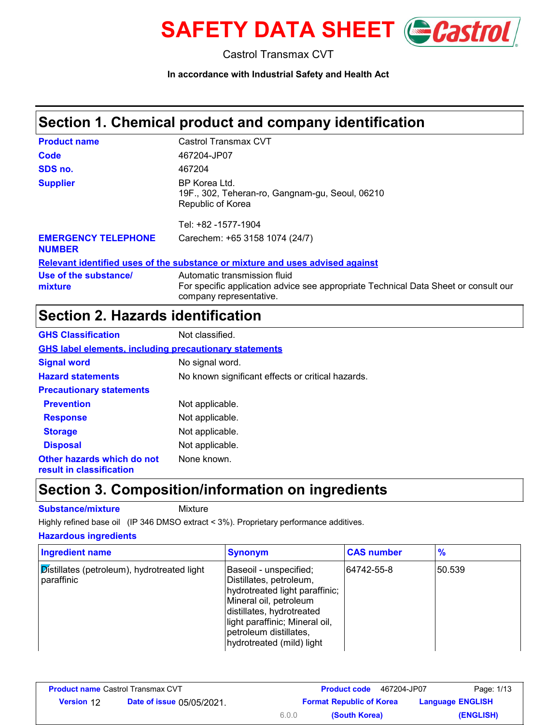

Castrol Transmax CVT

**In accordance with Industrial Safety and Health Act**

# **Section 1. Chemical product and company identification**

| <b>Product name</b>                         | Castrol Transmax CVT                                                                                                                           |
|---------------------------------------------|------------------------------------------------------------------------------------------------------------------------------------------------|
| Code                                        | 467204-JP07                                                                                                                                    |
| SDS no.                                     | 467204                                                                                                                                         |
| <b>Supplier</b>                             | BP Korea Ltd.<br>19F., 302, Teheran-ro, Gangnam-gu, Seoul, 06210<br>Republic of Korea                                                          |
|                                             | Tel: +82 -1577-1904                                                                                                                            |
| <b>EMERGENCY TELEPHONE</b><br><b>NUMBER</b> | Carechem: +65 3158 1074 (24/7)                                                                                                                 |
|                                             | Relevant identified uses of the substance or mixture and uses advised against                                                                  |
| Use of the substance/<br>mixture            | Automatic transmission fluid<br>For specific application advice see appropriate Technical Data Sheet or consult our<br>company representative. |

# **Section 2. Hazards identification**

| <b>GHS Classification</b>                                     | Not classified.                                   |
|---------------------------------------------------------------|---------------------------------------------------|
| <b>GHS label elements, including precautionary statements</b> |                                                   |
| <b>Signal word</b>                                            | No signal word.                                   |
| <b>Hazard statements</b>                                      | No known significant effects or critical hazards. |
| <b>Precautionary statements</b>                               |                                                   |
| <b>Prevention</b>                                             | Not applicable.                                   |
| <b>Response</b>                                               | Not applicable.                                   |
| <b>Storage</b>                                                | Not applicable.                                   |
| <b>Disposal</b>                                               | Not applicable.                                   |
| Other hazards which do not<br>result in classification        | None known.                                       |

### **Section 3. Composition/information on ingredients**

**Substance/mixture** Mixture

Highly refined base oil (IP 346 DMSO extract < 3%). Proprietary performance additives.

#### **Hazardous ingredients**

| <b>Ingredient name</b>                                    | <b>Synonym</b>                                                                                                                                                                                                                      | <b>CAS number</b> | $\frac{9}{6}$ |
|-----------------------------------------------------------|-------------------------------------------------------------------------------------------------------------------------------------------------------------------------------------------------------------------------------------|-------------------|---------------|
| Distillates (petroleum), hydrotreated light<br>paraffinic | Baseoil - unspecified;<br>Distillates, petroleum,<br>hydrotreated light paraffinic;<br>Mineral oil, petroleum<br>distillates, hydrotreated<br>light paraffinic; Mineral oil,<br>petroleum distillates,<br>hydrotreated (mild) light | 64742-55-8        | 50.539        |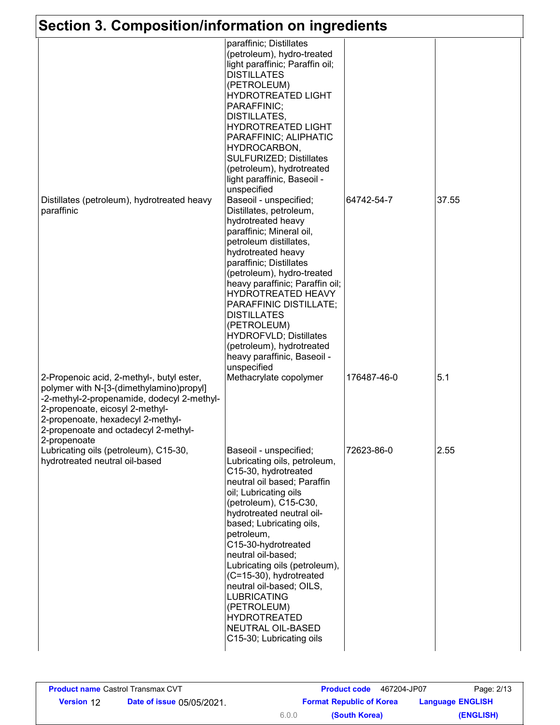# **Section 3. Composition/information on ingredients**

| Section 3. Composition/information on ingredients                                                                                                                                                                                                                   |                                                                                                                                                                                                                                                                                                                                                                                                                                                                                          |             |       |
|---------------------------------------------------------------------------------------------------------------------------------------------------------------------------------------------------------------------------------------------------------------------|------------------------------------------------------------------------------------------------------------------------------------------------------------------------------------------------------------------------------------------------------------------------------------------------------------------------------------------------------------------------------------------------------------------------------------------------------------------------------------------|-------------|-------|
|                                                                                                                                                                                                                                                                     | paraffinic; Distillates<br>(petroleum), hydro-treated<br>light paraffinic; Paraffin oil;<br><b>DISTILLATES</b><br>(PETROLEUM)<br><b>HYDROTREATED LIGHT</b><br>PARAFFINIC;<br>DISTILLATES,<br><b>HYDROTREATED LIGHT</b><br>PARAFFINIC; ALIPHATIC<br>HYDROCARBON,<br><b>SULFURIZED; Distillates</b><br>(petroleum), hydrotreated<br>light paraffinic, Baseoil -<br>unspecified                                                                                                             |             |       |
| Distillates (petroleum), hydrotreated heavy<br>paraffinic                                                                                                                                                                                                           | Baseoil - unspecified;<br>Distillates, petroleum,<br>hydrotreated heavy<br>paraffinic; Mineral oil,<br>petroleum distillates,<br>hydrotreated heavy<br>paraffinic; Distillates<br>(petroleum), hydro-treated<br>heavy paraffinic; Paraffin oil;<br>HYDROTREATED HEAVY<br>PARAFFINIC DISTILLATE;<br><b>DISTILLATES</b><br>(PETROLEUM)<br><b>HYDROFVLD; Distillates</b><br>(petroleum), hydrotreated<br>heavy paraffinic, Baseoil -<br>unspecified                                         | 64742-54-7  | 37.55 |
| 2-Propenoic acid, 2-methyl-, butyl ester,<br>polymer with N-[3-(dimethylamino)propyl]<br>-2-methyl-2-propenamide, dodecyl 2-methyl-<br>2-propenoate, eicosyl 2-methyl-<br>2-propenoate, hexadecyl 2-methyl-<br>2-propenoate and octadecyl 2-methyl-<br>2-propenoate | Methacrylate copolymer                                                                                                                                                                                                                                                                                                                                                                                                                                                                   | 176487-46-0 | 5.1   |
| Lubricating oils (petroleum), C15-30,<br>hydrotreated neutral oil-based                                                                                                                                                                                             | Baseoil - unspecified;<br>Lubricating oils, petroleum,<br>C15-30, hydrotreated<br>neutral oil based; Paraffin<br>oil; Lubricating oils<br>(petroleum), C15-C30,<br>hydrotreated neutral oil-<br>based; Lubricating oils,<br>petroleum,<br>C15-30-hydrotreated<br>neutral oil-based;<br>Lubricating oils (petroleum),<br>(C=15-30), hydrotreated<br>neutral oil-based; OILS,<br><b>LUBRICATING</b><br>(PETROLEUM)<br><b>HYDROTREATED</b><br>NEUTRAL OIL-BASED<br>C15-30; Lubricating oils | 72623-86-0  | 2.55  |

|                   | <b>Product name Castrol Transmax CVT</b> |       | 467204-JP07<br><b>Product code</b> | Page: 2/13              |
|-------------------|------------------------------------------|-------|------------------------------------|-------------------------|
| <b>Version 12</b> | <b>Date of issue 05/05/2021.</b>         |       | <b>Format Republic of Korea</b>    | <b>Language ENGLISH</b> |
|                   |                                          | 6.0.0 | (South Korea)                      | (ENGLISH)               |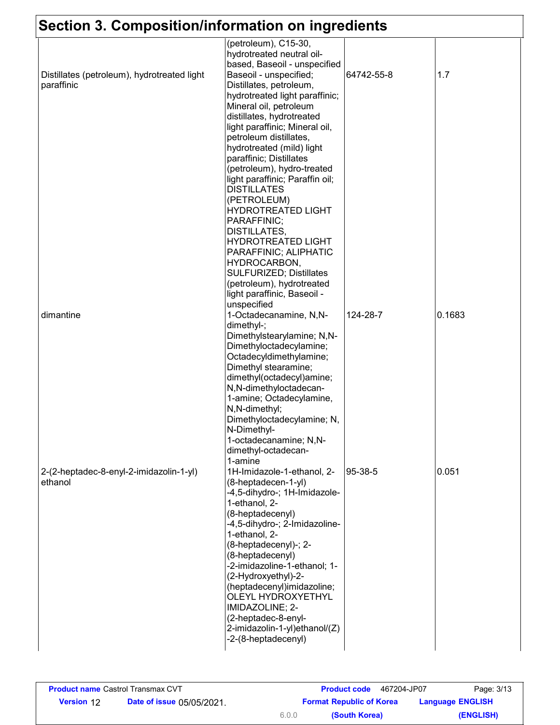# **Section 3. Composition/information on ingredients**

| UII VI V                                    | ommonnauon on mgroaiont                                  |            |        |
|---------------------------------------------|----------------------------------------------------------|------------|--------|
|                                             | (petroleum), C15-30,                                     |            |        |
|                                             | hydrotreated neutral oil-                                |            |        |
|                                             | based, Baseoil - unspecified                             |            |        |
| Distillates (petroleum), hydrotreated light | Baseoil - unspecified;                                   | 64742-55-8 | 1.7    |
| paraffinic                                  | Distillates, petroleum,                                  |            |        |
|                                             | hydrotreated light paraffinic;                           |            |        |
|                                             | Mineral oil, petroleum                                   |            |        |
|                                             | distillates, hydrotreated                                |            |        |
|                                             | light paraffinic; Mineral oil,<br>petroleum distillates, |            |        |
|                                             | hydrotreated (mild) light                                |            |        |
|                                             | paraffinic; Distillates                                  |            |        |
|                                             | (petroleum), hydro-treated                               |            |        |
|                                             | light paraffinic; Paraffin oil;                          |            |        |
|                                             | <b>DISTILLATES</b>                                       |            |        |
|                                             | (PETROLEUM)                                              |            |        |
|                                             | <b>HYDROTREATED LIGHT</b>                                |            |        |
|                                             | PARAFFINIC;                                              |            |        |
|                                             | DISTILLATES,                                             |            |        |
|                                             | <b>HYDROTREATED LIGHT</b>                                |            |        |
|                                             | PARAFFINIC; ALIPHATIC                                    |            |        |
|                                             | HYDROCARBON,                                             |            |        |
|                                             | <b>SULFURIZED; Distillates</b>                           |            |        |
|                                             | (petroleum), hydrotreated                                |            |        |
|                                             | light paraffinic, Baseoil -                              |            |        |
|                                             | unspecified                                              |            |        |
| dimantine                                   | 1-Octadecanamine, N,N-                                   | 124-28-7   | 0.1683 |
|                                             | dimethyl-;                                               |            |        |
|                                             | Dimethylstearylamine; N,N-                               |            |        |
|                                             | Dimethyloctadecylamine;                                  |            |        |
|                                             | Octadecyldimethylamine;                                  |            |        |
|                                             | Dimethyl stearamine;                                     |            |        |
|                                             | dimethyl(octadecyl)amine;                                |            |        |
|                                             | N,N-dimethyloctadecan-                                   |            |        |
|                                             | 1-amine; Octadecylamine,                                 |            |        |
|                                             | N,N-dimethyl;<br>Dimethyloctadecylamine; N,              |            |        |
|                                             | N-Dimethyl-                                              |            |        |
|                                             | 1-octadecanamine; N,N-                                   |            |        |
|                                             | dimethyl-octadecan-                                      |            |        |
|                                             | 1-amine                                                  |            |        |
| 2-(2-heptadec-8-enyl-2-imidazolin-1-yl)     | 1H-Imidazole-1-ethanol, 2-                               | 95-38-5    | 0.051  |
| ethanol                                     | (8-heptadecen-1-yl)                                      |            |        |
|                                             | -4,5-dihydro-; 1H-Imidazole-                             |            |        |
|                                             | 1-ethanol, 2-                                            |            |        |
|                                             | (8-heptadecenyl)                                         |            |        |
|                                             | -4,5-dihydro-; 2-lmidazoline-                            |            |        |
|                                             | 1-ethanol, 2-                                            |            |        |
|                                             | (8-heptadecenyl)-; 2-                                    |            |        |
|                                             | (8-heptadecenyl)                                         |            |        |
|                                             | -2-imidazoline-1-ethanol; 1-                             |            |        |
|                                             | (2-Hydroxyethyl)-2-                                      |            |        |
|                                             | (heptadecenyl)imidazoline;                               |            |        |
|                                             | OLEYL HYDROXYETHYL                                       |            |        |
|                                             | IMIDAZOLINE; 2-                                          |            |        |
|                                             | (2-heptadec-8-enyl-                                      |            |        |
|                                             | 2-imidazolin-1-yl)ethanol/(Z)                            |            |        |
|                                             | -2-(8-heptadecenyl)                                      |            |        |
|                                             |                                                          |            |        |

| <b>Product name</b> Castrol Transmax CVT |                                  |       | 467204-JP07<br><b>Product code</b> | Page: 3/13              |
|------------------------------------------|----------------------------------|-------|------------------------------------|-------------------------|
| <b>Version 12</b>                        | <b>Date of issue 05/05/2021.</b> |       | <b>Format Republic of Korea</b>    | <b>Language ENGLISH</b> |
|                                          |                                  | 6.0.0 | (South Korea)                      | (ENGLISH)               |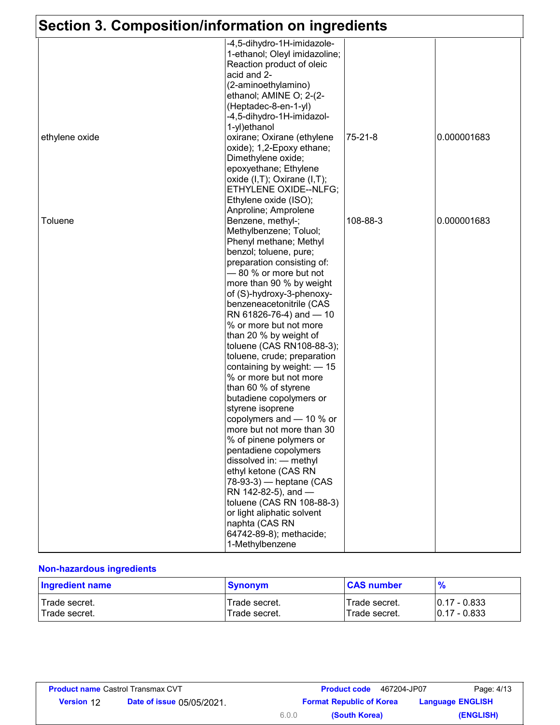|  |  |  |  | Section 3. Composition/information on ingredients |  |
|--|--|--|--|---------------------------------------------------|--|
|--|--|--|--|---------------------------------------------------|--|

| <u>UECHUITU. UUMPUSINUMMINUMMINUM UMMINUMENIS</u> |                                   |          |             |
|---------------------------------------------------|-----------------------------------|----------|-------------|
|                                                   | -4,5-dihydro-1H-imidazole-        |          |             |
|                                                   | 1-ethanol; Oleyl imidazoline;     |          |             |
|                                                   | Reaction product of oleic         |          |             |
|                                                   | acid and 2-                       |          |             |
|                                                   | (2-aminoethylamino)               |          |             |
|                                                   | ethanol; AMINE O; 2-(2-           |          |             |
|                                                   | (Heptadec-8-en-1-yl)              |          |             |
|                                                   | -4,5-dihydro-1H-imidazol-         |          |             |
|                                                   | 1-yl)ethanol                      |          |             |
| ethylene oxide                                    | oxirane; Oxirane (ethylene        | 75-21-8  | 0.000001683 |
|                                                   | oxide); 1,2-Epoxy ethane;         |          |             |
|                                                   | Dimethylene oxide;                |          |             |
|                                                   | epoxyethane; Ethylene             |          |             |
|                                                   | oxide $(I,T)$ ; Oxirane $(I,T)$ ; |          |             |
|                                                   | ETHYLENE OXIDE--NLFG;             |          |             |
|                                                   | Ethylene oxide (ISO);             |          |             |
|                                                   | Anproline; Amprolene              |          |             |
| <b>Toluene</b>                                    | Benzene, methyl-;                 | 108-88-3 | 0.000001683 |
|                                                   | Methylbenzene; Toluol;            |          |             |
|                                                   | Phenyl methane; Methyl            |          |             |
|                                                   | benzol; toluene, pure;            |          |             |
|                                                   | preparation consisting of:        |          |             |
|                                                   | -80 % or more but not             |          |             |
|                                                   | more than 90 % by weight          |          |             |
|                                                   | of (S)-hydroxy-3-phenoxy-         |          |             |
|                                                   | benzeneacetonitrile (CAS          |          |             |
|                                                   | RN 61826-76-4) and -10            |          |             |
|                                                   | % or more but not more            |          |             |
|                                                   | than 20 % by weight of            |          |             |
|                                                   | toluene (CAS RN108-88-3);         |          |             |
|                                                   | toluene, crude; preparation       |          |             |
|                                                   | containing by weight: - 15        |          |             |
|                                                   | % or more but not more            |          |             |
|                                                   | than 60 % of styrene              |          |             |
|                                                   | butadiene copolymers or           |          |             |
|                                                   | styrene isoprene                  |          |             |
|                                                   | copolymers and - 10 % or          |          |             |
|                                                   | more but not more than 30         |          |             |
|                                                   | % of pinene polymers or           |          |             |
|                                                   | pentadiene copolymers             |          |             |
|                                                   | dissolved in: - methyl            |          |             |
|                                                   | ethyl ketone (CAS RN              |          |             |
|                                                   | 78-93-3) - heptane (CAS           |          |             |
|                                                   | RN 142-82-5), and -               |          |             |
|                                                   | toluene (CAS RN 108-88-3)         |          |             |
|                                                   | or light aliphatic solvent        |          |             |
|                                                   | naphta (CAS RN                    |          |             |
|                                                   | 64742-89-8); methacide;           |          |             |
|                                                   | 1-Methylbenzene                   |          |             |

#### **Non-hazardous ingredients**

| <b>Ingredient name</b> | <b>Synonym</b> | <b>CAS number</b> | $\frac{9}{6}$   |
|------------------------|----------------|-------------------|-----------------|
| l Trade secret.        | Trade secret.  | Trade secret.     | $10.17 - 0.833$ |
| Trade secret.          | Trade secret.  | Trade secret.     | $10.17 - 0.833$ |

| <b>Product name Castrol Transmax CVT</b> |                                  |       | <b>Product code</b> 467204-JP07 | Page: 4/13              |
|------------------------------------------|----------------------------------|-------|---------------------------------|-------------------------|
| <b>Version 12</b>                        | <b>Date of issue 05/05/2021.</b> |       | <b>Format Republic of Korea</b> | <b>Language ENGLISH</b> |
|                                          |                                  | 6.0.0 | (South Korea)                   | (ENGLISH)               |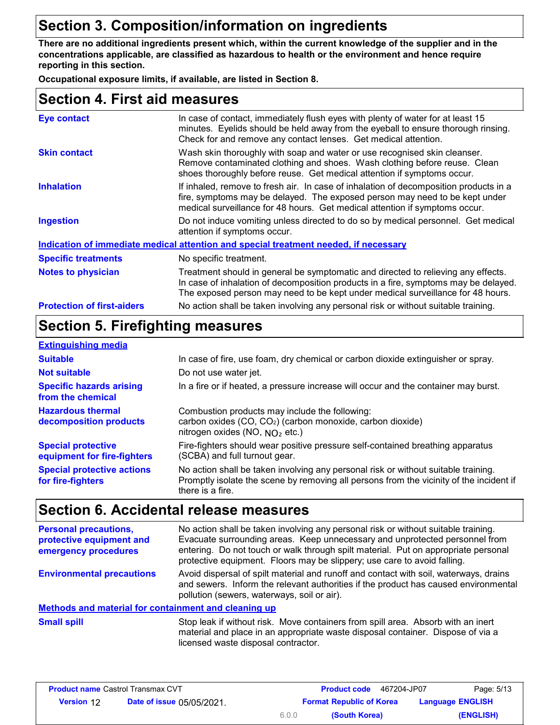# **Section 3. Composition/information on ingredients**

**There are no additional ingredients present which, within the current knowledge of the supplier and in the concentrations applicable, are classified as hazardous to health or the environment and hence require reporting in this section.**

**Occupational exposure limits, if available, are listed in Section 8.**

### **Section 4. First aid measures**

| <b>Eye contact</b>                | In case of contact, immediately flush eyes with plenty of water for at least 15<br>minutes. Eyelids should be held away from the eyeball to ensure thorough rinsing.<br>Check for and remove any contact lenses. Get medical attention.                     |  |
|-----------------------------------|-------------------------------------------------------------------------------------------------------------------------------------------------------------------------------------------------------------------------------------------------------------|--|
| <b>Skin contact</b>               | Wash skin thoroughly with soap and water or use recognised skin cleanser.<br>Remove contaminated clothing and shoes. Wash clothing before reuse. Clean<br>shoes thoroughly before reuse. Get medical attention if symptoms occur.                           |  |
| <b>Inhalation</b>                 | If inhaled, remove to fresh air. In case of inhalation of decomposition products in a<br>fire, symptoms may be delayed. The exposed person may need to be kept under<br>medical surveillance for 48 hours. Get medical attention if symptoms occur.         |  |
| <b>Ingestion</b>                  | Do not induce vomiting unless directed to do so by medical personnel. Get medical<br>attention if symptoms occur.                                                                                                                                           |  |
|                                   | Indication of immediate medical attention and special treatment needed, if necessary                                                                                                                                                                        |  |
| <b>Specific treatments</b>        | No specific treatment.                                                                                                                                                                                                                                      |  |
| <b>Notes to physician</b>         | Treatment should in general be symptomatic and directed to relieving any effects.<br>In case of inhalation of decomposition products in a fire, symptoms may be delayed.<br>The exposed person may need to be kept under medical surveillance for 48 hours. |  |
| <b>Protection of first-aiders</b> | No action shall be taken involving any personal risk or without suitable training.                                                                                                                                                                          |  |

### **Section 5. Firefighting measures**

| <b>Extinguishing media</b>                               |                                                                                                                                                                                                   |
|----------------------------------------------------------|---------------------------------------------------------------------------------------------------------------------------------------------------------------------------------------------------|
| <b>Suitable</b>                                          | In case of fire, use foam, dry chemical or carbon dioxide extinguisher or spray.                                                                                                                  |
| <b>Not suitable</b>                                      | Do not use water jet.                                                                                                                                                                             |
| <b>Specific hazards arising</b><br>from the chemical     | In a fire or if heated, a pressure increase will occur and the container may burst.                                                                                                               |
| <b>Hazardous thermal</b><br>decomposition products       | Combustion products may include the following:<br>carbon oxides (CO, CO <sub>2</sub> ) (carbon monoxide, carbon dioxide)<br>nitrogen oxides (NO, $NO2$ etc.)                                      |
| <b>Special protective</b><br>equipment for fire-fighters | Fire-fighters should wear positive pressure self-contained breathing apparatus<br>(SCBA) and full turnout gear.                                                                                   |
| <b>Special protective actions</b><br>for fire-fighters   | No action shall be taken involving any personal risk or without suitable training.<br>Promptly isolate the scene by removing all persons from the vicinity of the incident if<br>there is a fire. |

### **Section 6. Accidental release measures**

| <b>Personal precautions,</b><br>protective equipment and<br>emergency procedures | No action shall be taken involving any personal risk or without suitable training.<br>Evacuate surrounding areas. Keep unnecessary and unprotected personnel from<br>entering. Do not touch or walk through spilt material. Put on appropriate personal<br>protective equipment. Floors may be slippery; use care to avoid falling. |  |  |  |  |  |
|----------------------------------------------------------------------------------|-------------------------------------------------------------------------------------------------------------------------------------------------------------------------------------------------------------------------------------------------------------------------------------------------------------------------------------|--|--|--|--|--|
| <b>Environmental precautions</b>                                                 | Avoid dispersal of spilt material and runoff and contact with soil, waterways, drains<br>and sewers. Inform the relevant authorities if the product has caused environmental<br>pollution (sewers, waterways, soil or air).                                                                                                         |  |  |  |  |  |
| <b>Methods and material for containment and cleaning up</b>                      |                                                                                                                                                                                                                                                                                                                                     |  |  |  |  |  |
| <b>Small spill</b>                                                               | Stop leak if without risk. Move containers from spill area. Absorb with an inert<br>material and place in an appropriate waste disposal container. Dispose of via a<br>licensed waste disposal contractor.                                                                                                                          |  |  |  |  |  |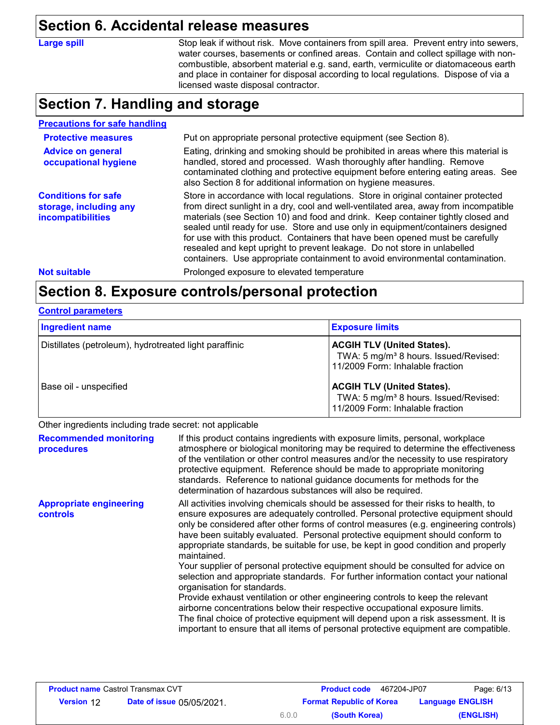#### **Section 6. Accidental release measures**

**Large spill**

Stop leak if without risk. Move containers from spill area. Prevent entry into sewers, water courses, basements or confined areas. Contain and collect spillage with noncombustible, absorbent material e.g. sand, earth, vermiculite or diatomaceous earth and place in container for disposal according to local regulations. Dispose of via a licensed waste disposal contractor.

# **Section 7. Handling and storage**

| <b>Precautions for safe handling</b>                                                                                                                                                                                                                                                                                                                                 |                                                                                                                                                                                                                                                                                                                                                                                                                                                                                                                                                                                                |  |  |  |  |  |
|----------------------------------------------------------------------------------------------------------------------------------------------------------------------------------------------------------------------------------------------------------------------------------------------------------------------------------------------------------------------|------------------------------------------------------------------------------------------------------------------------------------------------------------------------------------------------------------------------------------------------------------------------------------------------------------------------------------------------------------------------------------------------------------------------------------------------------------------------------------------------------------------------------------------------------------------------------------------------|--|--|--|--|--|
| <b>Protective measures</b>                                                                                                                                                                                                                                                                                                                                           | Put on appropriate personal protective equipment (see Section 8).                                                                                                                                                                                                                                                                                                                                                                                                                                                                                                                              |  |  |  |  |  |
| Eating, drinking and smoking should be prohibited in areas where this material is<br><b>Advice on general</b><br>handled, stored and processed. Wash thoroughly after handling. Remove<br>occupational hygiene<br>contaminated clothing and protective equipment before entering eating areas. See<br>also Section 8 for additional information on hygiene measures. |                                                                                                                                                                                                                                                                                                                                                                                                                                                                                                                                                                                                |  |  |  |  |  |
| <b>Conditions for safe</b><br>storage, including any<br>incompatibilities                                                                                                                                                                                                                                                                                            | Store in accordance with local regulations. Store in original container protected<br>from direct sunlight in a dry, cool and well-ventilated area, away from incompatible<br>materials (see Section 10) and food and drink. Keep container tightly closed and<br>sealed until ready for use. Store and use only in equipment/containers designed<br>for use with this product. Containers that have been opened must be carefully<br>resealed and kept upright to prevent leakage. Do not store in unlabelled<br>containers. Use appropriate containment to avoid environmental contamination. |  |  |  |  |  |
| <b>Not suitable</b>                                                                                                                                                                                                                                                                                                                                                  | Prolonged exposure to elevated temperature                                                                                                                                                                                                                                                                                                                                                                                                                                                                                                                                                     |  |  |  |  |  |
|                                                                                                                                                                                                                                                                                                                                                                      |                                                                                                                                                                                                                                                                                                                                                                                                                                                                                                                                                                                                |  |  |  |  |  |

#### **Section 8. Exposure controls/personal protection**

#### **Control parameters**

| <b>Ingredient name</b>                                 | <b>Exposure limits</b>                                                                                                     |
|--------------------------------------------------------|----------------------------------------------------------------------------------------------------------------------------|
| Distillates (petroleum), hydrotreated light paraffinic | <b>ACGIH TLV (United States).</b><br>TWA: 5 mg/m <sup>3</sup> 8 hours. Issued/Revised:<br>11/2009 Form: Inhalable fraction |
| Base oil - unspecified                                 | <b>ACGIH TLV (United States).</b><br>TWA: 5 mg/m <sup>3</sup> 8 hours. Issued/Revised:<br>11/2009 Form: Inhalable fraction |

Other ingredients including trade secret: not applicable

| <b>Recommended monitoring</b><br>procedures       | If this product contains ingredients with exposure limits, personal, workplace<br>atmosphere or biological monitoring may be required to determine the effectiveness<br>of the ventilation or other control measures and/or the necessity to use respiratory<br>protective equipment. Reference should be made to appropriate monitoring<br>standards. Reference to national guidance documents for methods for the<br>determination of hazardous substances will also be required.                                                                                                                                                                                                                                                                                                                                                                                                                                                                                                                           |
|---------------------------------------------------|---------------------------------------------------------------------------------------------------------------------------------------------------------------------------------------------------------------------------------------------------------------------------------------------------------------------------------------------------------------------------------------------------------------------------------------------------------------------------------------------------------------------------------------------------------------------------------------------------------------------------------------------------------------------------------------------------------------------------------------------------------------------------------------------------------------------------------------------------------------------------------------------------------------------------------------------------------------------------------------------------------------|
| <b>Appropriate engineering</b><br><b>controls</b> | All activities involving chemicals should be assessed for their risks to health, to<br>ensure exposures are adequately controlled. Personal protective equipment should<br>only be considered after other forms of control measures (e.g. engineering controls)<br>have been suitably evaluated. Personal protective equipment should conform to<br>appropriate standards, be suitable for use, be kept in good condition and properly<br>maintained.<br>Your supplier of personal protective equipment should be consulted for advice on<br>selection and appropriate standards. For further information contact your national<br>organisation for standards.<br>Provide exhaust ventilation or other engineering controls to keep the relevant<br>airborne concentrations below their respective occupational exposure limits.<br>The final choice of protective equipment will depend upon a risk assessment. It is<br>important to ensure that all items of personal protective equipment are compatible. |

| <b>Product name Castrol Transmax CVT</b> |                                  |       | <b>Product code</b> 467204-JP07                            | Page: 6/13 |
|------------------------------------------|----------------------------------|-------|------------------------------------------------------------|------------|
| <b>Version 12</b>                        | <b>Date of issue 05/05/2021.</b> |       | <b>Format Republic of Korea</b><br><b>Language ENGLISH</b> |            |
|                                          |                                  | 6.0.0 | (South Korea)                                              | (ENGLISH)  |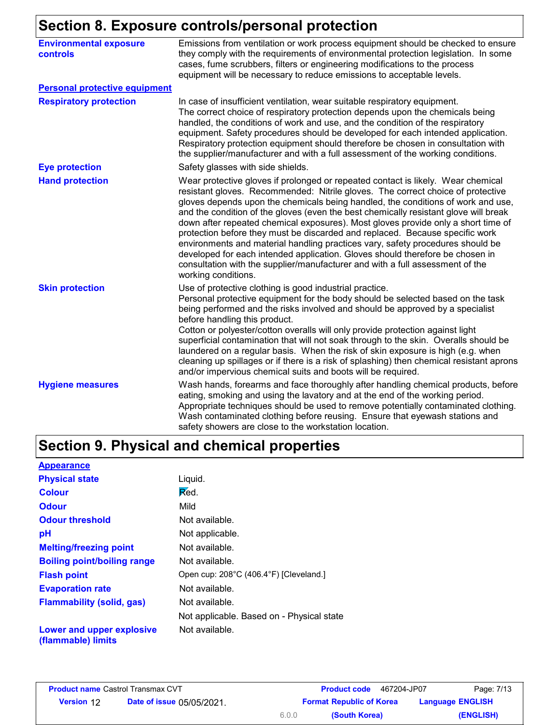### **Section 8. Exposure controls/personal protection**

|                                                  | <u>sootion of Exposure controlorperecitativi eteleten</u>                                                                                                                                                                                                                                                                                                                                                                                                                                                                                                                                                                                                                                                                                                                                       |
|--------------------------------------------------|-------------------------------------------------------------------------------------------------------------------------------------------------------------------------------------------------------------------------------------------------------------------------------------------------------------------------------------------------------------------------------------------------------------------------------------------------------------------------------------------------------------------------------------------------------------------------------------------------------------------------------------------------------------------------------------------------------------------------------------------------------------------------------------------------|
| <b>Environmental exposure</b><br><b>controls</b> | Emissions from ventilation or work process equipment should be checked to ensure<br>they comply with the requirements of environmental protection legislation. In some<br>cases, fume scrubbers, filters or engineering modifications to the process<br>equipment will be necessary to reduce emissions to acceptable levels.                                                                                                                                                                                                                                                                                                                                                                                                                                                                   |
| <b>Personal protective equipment</b>             |                                                                                                                                                                                                                                                                                                                                                                                                                                                                                                                                                                                                                                                                                                                                                                                                 |
| <b>Respiratory protection</b>                    | In case of insufficient ventilation, wear suitable respiratory equipment.<br>The correct choice of respiratory protection depends upon the chemicals being<br>handled, the conditions of work and use, and the condition of the respiratory<br>equipment. Safety procedures should be developed for each intended application.<br>Respiratory protection equipment should therefore be chosen in consultation with<br>the supplier/manufacturer and with a full assessment of the working conditions.                                                                                                                                                                                                                                                                                           |
| <b>Eye protection</b>                            | Safety glasses with side shields.                                                                                                                                                                                                                                                                                                                                                                                                                                                                                                                                                                                                                                                                                                                                                               |
| <b>Hand protection</b>                           | Wear protective gloves if prolonged or repeated contact is likely. Wear chemical<br>resistant gloves. Recommended: Nitrile gloves. The correct choice of protective<br>gloves depends upon the chemicals being handled, the conditions of work and use,<br>and the condition of the gloves (even the best chemically resistant glove will break<br>down after repeated chemical exposures). Most gloves provide only a short time of<br>protection before they must be discarded and replaced. Because specific work<br>environments and material handling practices vary, safety procedures should be<br>developed for each intended application. Gloves should therefore be chosen in<br>consultation with the supplier/manufacturer and with a full assessment of the<br>working conditions. |
| <b>Skin protection</b>                           | Use of protective clothing is good industrial practice.<br>Personal protective equipment for the body should be selected based on the task<br>being performed and the risks involved and should be approved by a specialist<br>before handling this product.<br>Cotton or polyester/cotton overalls will only provide protection against light<br>superficial contamination that will not soak through to the skin. Overalls should be<br>laundered on a regular basis. When the risk of skin exposure is high (e.g. when<br>cleaning up spillages or if there is a risk of splashing) then chemical resistant aprons<br>and/or impervious chemical suits and boots will be required.                                                                                                           |
| <b>Hygiene measures</b>                          | Wash hands, forearms and face thoroughly after handling chemical products, before<br>eating, smoking and using the lavatory and at the end of the working period.<br>Appropriate techniques should be used to remove potentially contaminated clothing.<br>Wash contaminated clothing before reusing. Ensure that eyewash stations and<br>safety showers are close to the workstation location.                                                                                                                                                                                                                                                                                                                                                                                                 |

# **Section 9. Physical and chemical properties**

| <b>Appearance</b>                               |                                           |
|-------------------------------------------------|-------------------------------------------|
| <b>Physical state</b>                           | Liquid.                                   |
| <b>Colour</b>                                   | Red.                                      |
| <b>Odour</b>                                    | Mild                                      |
| <b>Odour threshold</b>                          | Not available.                            |
| рH                                              | Not applicable.                           |
| <b>Melting/freezing point</b>                   | Not available.                            |
| <b>Boiling point/boiling range</b>              | Not available.                            |
| <b>Flash point</b>                              | Open cup: 208°C (406.4°F) [Cleveland.]    |
| <b>Evaporation rate</b>                         | Not available.                            |
| <b>Flammability (solid, gas)</b>                | Not available.                            |
|                                                 | Not applicable. Based on - Physical state |
| Lower and upper explosive<br>(flammable) limits | Not available.                            |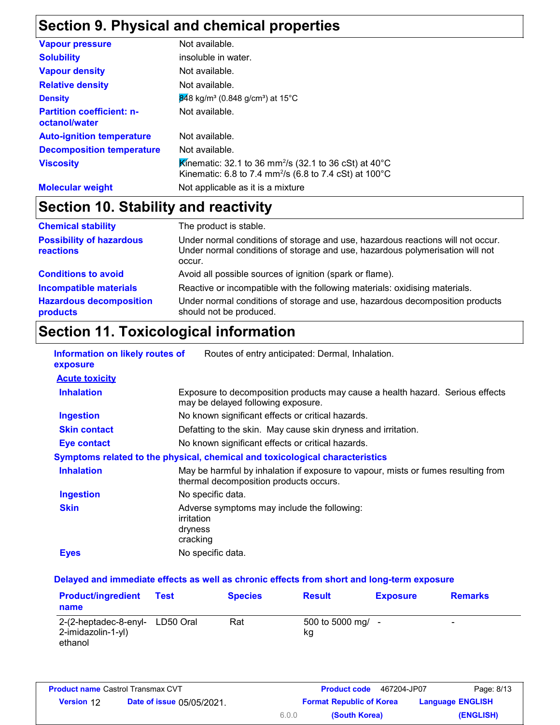# **Section 9. Physical and chemical properties**

| <b>Vapour pressure</b>                            | Not available.                                                                                                                                                 |
|---------------------------------------------------|----------------------------------------------------------------------------------------------------------------------------------------------------------------|
| <b>Solubility</b>                                 | insoluble in water.                                                                                                                                            |
| <b>Vapour density</b>                             | Not available.                                                                                                                                                 |
| <b>Relative density</b>                           | Not available.                                                                                                                                                 |
| <b>Density</b>                                    | $\frac{1}{848}$ kg/m <sup>3</sup> (0.848 g/cm <sup>3</sup> ) at 15 <sup>°</sup> C                                                                              |
| <b>Partition coefficient: n-</b><br>octanol/water | Not available.                                                                                                                                                 |
| <b>Auto-ignition temperature</b>                  | Not available.                                                                                                                                                 |
| <b>Decomposition temperature</b>                  | Not available.                                                                                                                                                 |
| <b>Viscosity</b>                                  | Kinematic: 32.1 to 36 mm <sup>2</sup> /s (32.1 to 36 cSt) at 40 <sup>°</sup> C<br>Kinematic: 6.8 to 7.4 mm <sup>2</sup> /s (6.8 to 7.4 cSt) at $100^{\circ}$ C |
| <b>Molecular weight</b>                           | Not applicable as it is a mixture                                                                                                                              |

# **Section 10. Stability and reactivity**

| <b>Chemical stability</b>                    | The product is stable.                                                                                                                                                     |
|----------------------------------------------|----------------------------------------------------------------------------------------------------------------------------------------------------------------------------|
| <b>Possibility of hazardous</b><br>reactions | Under normal conditions of storage and use, hazardous reactions will not occur.<br>Under normal conditions of storage and use, hazardous polymerisation will not<br>occur. |
| <b>Conditions to avoid</b>                   | Avoid all possible sources of ignition (spark or flame).                                                                                                                   |
| <b>Incompatible materials</b>                | Reactive or incompatible with the following materials: oxidising materials.                                                                                                |
| <b>Hazardous decomposition</b><br>products   | Under normal conditions of storage and use, hazardous decomposition products<br>should not be produced.                                                                    |

# **Section 11. Toxicological information**

| Information on likely routes of<br>exposure | Routes of entry anticipated: Dermal, Inhalation.                                                                            |  |  |  |  |
|---------------------------------------------|-----------------------------------------------------------------------------------------------------------------------------|--|--|--|--|
| <b>Acute toxicity</b>                       |                                                                                                                             |  |  |  |  |
| <b>Inhalation</b>                           | Exposure to decomposition products may cause a health hazard. Serious effects<br>may be delayed following exposure.         |  |  |  |  |
| <b>Ingestion</b>                            | No known significant effects or critical hazards.                                                                           |  |  |  |  |
| <b>Skin contact</b>                         | Defatting to the skin. May cause skin dryness and irritation.                                                               |  |  |  |  |
| Eye contact                                 | No known significant effects or critical hazards.                                                                           |  |  |  |  |
|                                             | Symptoms related to the physical, chemical and toxicological characteristics                                                |  |  |  |  |
| <b>Inhalation</b>                           | May be harmful by inhalation if exposure to vapour, mists or fumes resulting from<br>thermal decomposition products occurs. |  |  |  |  |
| <b>Ingestion</b>                            | No specific data.                                                                                                           |  |  |  |  |
| <b>Skin</b>                                 | Adverse symptoms may include the following:<br>irritation<br>dryness<br>cracking                                            |  |  |  |  |
| <b>Eyes</b>                                 | No specific data.                                                                                                           |  |  |  |  |

#### **Delayed and immediate effects as well as chronic effects from short and long-term exposure**

| <b>Product/ingredient</b><br>name                      | Test      | <b>Species</b> | <b>Result</b>         | <b>Exposure</b> | <b>Remarks</b> |
|--------------------------------------------------------|-----------|----------------|-----------------------|-----------------|----------------|
| 2-(2-heptadec-8-enyl-<br>2-imidazolin-1-yl)<br>ethanol | LD50 Oral | Rat            | 500 to 5000 mg/<br>kg |                 | -              |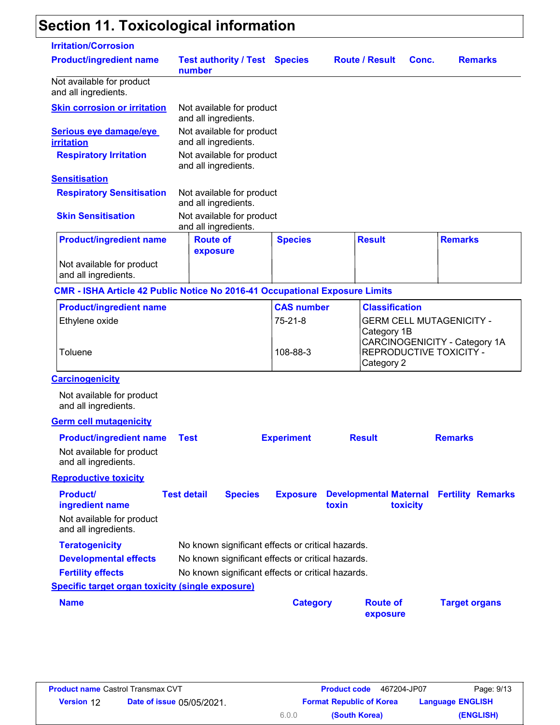# **Section 11. Toxicological information**

| <b>Irritation/Corrosion</b>                                                 |                                                   |                   |                                        |                                                                  |
|-----------------------------------------------------------------------------|---------------------------------------------------|-------------------|----------------------------------------|------------------------------------------------------------------|
| <b>Product/ingredient name</b>                                              | <b>Test authority / Test Species</b><br>number    |                   | <b>Route / Result</b>                  | <b>Remarks</b><br>Conc.                                          |
| Not available for product<br>and all ingredients.                           |                                                   |                   |                                        |                                                                  |
| <b>Skin corrosion or irritation</b>                                         | Not available for product<br>and all ingredients. |                   |                                        |                                                                  |
| Serious eye damage/eye<br><b>irritation</b>                                 | Not available for product<br>and all ingredients. |                   |                                        |                                                                  |
| <b>Respiratory Irritation</b>                                               | Not available for product<br>and all ingredients. |                   |                                        |                                                                  |
| <b>Sensitisation</b>                                                        |                                                   |                   |                                        |                                                                  |
| <b>Respiratory Sensitisation</b>                                            | Not available for product<br>and all ingredients. |                   |                                        |                                                                  |
| <b>Skin Sensitisation</b>                                                   | Not available for product<br>and all ingredients. |                   |                                        |                                                                  |
| <b>Product/ingredient name</b>                                              | <b>Route of</b><br>exposure                       | <b>Species</b>    | <b>Result</b>                          | <b>Remarks</b>                                                   |
| Not available for product<br>and all ingredients.                           |                                                   |                   |                                        |                                                                  |
| CMR - ISHA Article 42 Public Notice No 2016-41 Occupational Exposure Limits |                                                   |                   |                                        |                                                                  |
| <b>Product/ingredient name</b>                                              |                                                   | <b>CAS number</b> | <b>Classification</b>                  |                                                                  |
| Ethylene oxide                                                              |                                                   | $75 - 21 - 8$     | Category 1B                            | <b>GERM CELL MUTAGENICITY -</b><br>CARCINOGENICITY - Category 1A |
| Toluene                                                                     |                                                   | 108-88-3          | Category 2                             | REPRODUCTIVE TOXICITY -                                          |
| <b>Carcinogenicity</b>                                                      |                                                   |                   |                                        |                                                                  |
| Not available for product<br>and all ingredients.                           |                                                   |                   |                                        |                                                                  |
| <b>Germ cell mutagenicity</b>                                               |                                                   |                   |                                        |                                                                  |
| <b>Product/ingredient name</b><br>Not available for product                 | <b>Test</b>                                       | <b>Experiment</b> | <b>Result</b>                          | <b>Remarks</b>                                                   |
| and all ingredients.                                                        |                                                   |                   |                                        |                                                                  |
| <b>Reproductive toxicity</b>                                                |                                                   |                   |                                        |                                                                  |
| <b>Product/</b><br>ingredient name                                          | <b>Test detail</b><br><b>Species</b>              | <b>Exposure</b>   | <b>Developmental Maternal</b><br>toxin | <b>Fertility Remarks</b><br>toxicity                             |
| Not available for product<br>and all ingredients.                           |                                                   |                   |                                        |                                                                  |
| <b>Teratogenicity</b>                                                       | No known significant effects or critical hazards. |                   |                                        |                                                                  |
| <b>Developmental effects</b>                                                | No known significant effects or critical hazards. |                   |                                        |                                                                  |
| <b>Fertility effects</b>                                                    | No known significant effects or critical hazards. |                   |                                        |                                                                  |
| Specific target organ toxicity (single exposure)                            |                                                   |                   |                                        |                                                                  |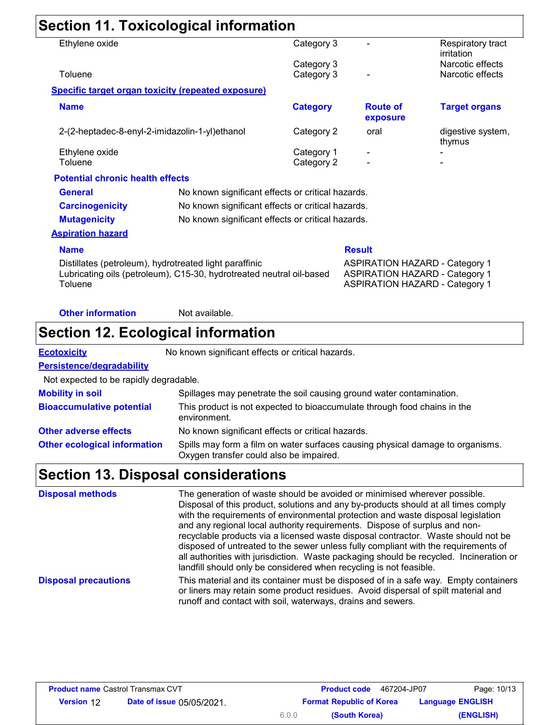# **Section 11. Toxicological information**

| Ethylene oxide                                                                                                                            |                                                           | Category 3               |                                                                                                                         | Respiratory tract<br>irritation |
|-------------------------------------------------------------------------------------------------------------------------------------------|-----------------------------------------------------------|--------------------------|-------------------------------------------------------------------------------------------------------------------------|---------------------------------|
|                                                                                                                                           |                                                           | Category 3               |                                                                                                                         | Narcotic effects                |
| Toluene                                                                                                                                   |                                                           | Category 3               |                                                                                                                         | Narcotic effects                |
|                                                                                                                                           | <b>Specific target organ toxicity (repeated exposure)</b> |                          |                                                                                                                         |                                 |
| <b>Name</b>                                                                                                                               |                                                           | <b>Category</b>          | <b>Route of</b><br>exposure                                                                                             | <b>Target organs</b>            |
|                                                                                                                                           | 2-(2-heptadec-8-enyl-2-imidazolin-1-yl)ethanol            | Category 2               | oral                                                                                                                    | digestive system,<br>thymus     |
| Ethylene oxide<br>Toluene                                                                                                                 |                                                           | Category 1<br>Category 2 |                                                                                                                         |                                 |
| <b>Potential chronic health effects</b>                                                                                                   |                                                           |                          |                                                                                                                         |                                 |
| <b>General</b>                                                                                                                            | No known significant effects or critical hazards.         |                          |                                                                                                                         |                                 |
| <b>Carcinogenicity</b>                                                                                                                    | No known significant effects or critical hazards.         |                          |                                                                                                                         |                                 |
| <b>Mutagenicity</b><br>No known significant effects or critical hazards.                                                                  |                                                           |                          |                                                                                                                         |                                 |
| <b>Aspiration hazard</b>                                                                                                                  |                                                           |                          |                                                                                                                         |                                 |
| <b>Name</b>                                                                                                                               |                                                           |                          | <b>Result</b>                                                                                                           |                                 |
| Distillates (petroleum), hydrotreated light paraffinic<br>Lubricating oils (petroleum), C15-30, hydrotreated neutral oil-based<br>Toluene |                                                           |                          | <b>ASPIRATION HAZARD - Category 1</b><br><b>ASPIRATION HAZARD - Category 1</b><br><b>ASPIRATION HAZARD - Category 1</b> |                                 |
| <b>Other information</b>                                                                                                                  | Not available.                                            |                          |                                                                                                                         |                                 |

# **Section 12. Ecological information**

| Ecotoxicitv |  |  |  |  |  |  |  |
|-------------|--|--|--|--|--|--|--|

**Ecotoxicity** No known significant effects or critical hazards.

#### **Persistence/degradability**

Not expected to be rapidly degradable.

| <b>Mobility in soil</b>             | Spillages may penetrate the soil causing ground water contamination.                                                      |
|-------------------------------------|---------------------------------------------------------------------------------------------------------------------------|
| <b>Bioaccumulative potential</b>    | This product is not expected to bioaccumulate through food chains in the<br>environment.                                  |
| <b>Other adverse effects</b>        | No known significant effects or critical hazards.                                                                         |
| <b>Other ecological information</b> | Spills may form a film on water surfaces causing physical damage to organisms.<br>Oxygen transfer could also be impaired. |

# **Section 13. Disposal considerations**

| <b>Disposal methods</b>     | The generation of waste should be avoided or minimised wherever possible.<br>Disposal of this product, solutions and any by-products should at all times comply<br>with the requirements of environmental protection and waste disposal legislation<br>and any regional local authority requirements. Dispose of surplus and non-<br>recyclable products via a licensed waste disposal contractor. Waste should not be<br>disposed of untreated to the sewer unless fully compliant with the requirements of<br>all authorities with jurisdiction. Waste packaging should be recycled. Incineration or<br>landfill should only be considered when recycling is not feasible. |
|-----------------------------|------------------------------------------------------------------------------------------------------------------------------------------------------------------------------------------------------------------------------------------------------------------------------------------------------------------------------------------------------------------------------------------------------------------------------------------------------------------------------------------------------------------------------------------------------------------------------------------------------------------------------------------------------------------------------|
| <b>Disposal precautions</b> | This material and its container must be disposed of in a safe way. Empty containers<br>or liners may retain some product residues. Avoid dispersal of spilt material and<br>runoff and contact with soil, waterways, drains and sewers.                                                                                                                                                                                                                                                                                                                                                                                                                                      |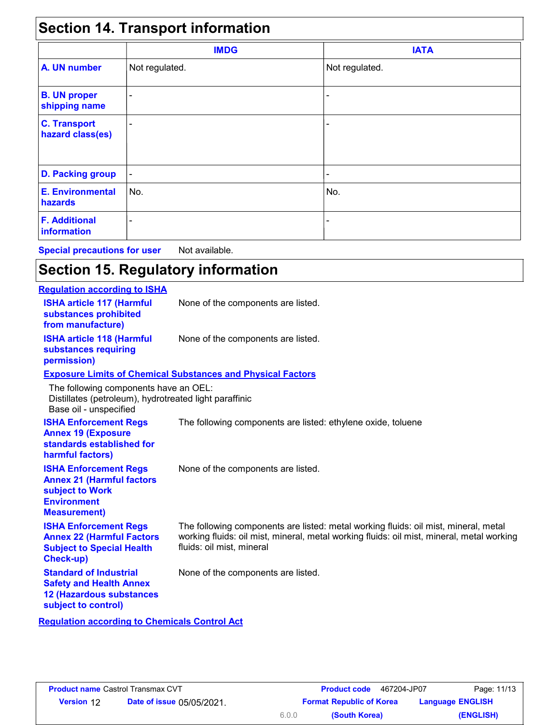### **Section 14. Transport information**

| <b>OCONON IT. HUNDROIL INTOINUUDII</b>  |                          |                |  |  |
|-----------------------------------------|--------------------------|----------------|--|--|
|                                         | <b>IMDG</b>              | <b>IATA</b>    |  |  |
| A. UN number                            | Not regulated.           | Not regulated. |  |  |
| <b>B. UN proper</b><br>shipping name    | $\overline{\phantom{0}}$ |                |  |  |
| <b>C. Transport</b><br>hazard class(es) |                          |                |  |  |
| <b>D. Packing group</b>                 |                          |                |  |  |
| <b>E. Environmental</b><br>hazards      | No.                      | No.            |  |  |
| <b>F. Additional</b><br>information     |                          |                |  |  |

**Special precautions for user** Not available.

# **Section 15. Regulatory information**

| <b>Regulation according to ISHA</b>                                                                                              |                                                                                                                                                                                                               |
|----------------------------------------------------------------------------------------------------------------------------------|---------------------------------------------------------------------------------------------------------------------------------------------------------------------------------------------------------------|
| <b>ISHA article 117 (Harmful</b><br>substances prohibited<br>from manufacture)                                                   | None of the components are listed.                                                                                                                                                                            |
| <b>ISHA article 118 (Harmful</b><br>substances requiring<br>permission)                                                          | None of the components are listed.                                                                                                                                                                            |
|                                                                                                                                  | <b>Exposure Limits of Chemical Substances and Physical Factors</b>                                                                                                                                            |
| The following components have an OEL:<br>Distillates (petroleum), hydrotreated light paraffinic<br>Base oil - unspecified        |                                                                                                                                                                                                               |
| <b>ISHA Enforcement Regs</b><br><b>Annex 19 (Exposure</b><br>standards established for<br>harmful factors)                       | The following components are listed: ethylene oxide, toluene                                                                                                                                                  |
| <b>ISHA Enforcement Regs</b><br><b>Annex 21 (Harmful factors</b><br>subject to Work<br><b>Environment</b><br><b>Measurement)</b> | None of the components are listed.                                                                                                                                                                            |
| <b>ISHA Enforcement Regs</b><br><b>Annex 22 (Harmful Factors</b><br><b>Subject to Special Health</b><br>Check-up)                | The following components are listed: metal working fluids: oil mist, mineral, metal<br>working fluids: oil mist, mineral, metal working fluids: oil mist, mineral, metal working<br>fluids: oil mist, mineral |
| <b>Standard of Industrial</b><br><b>Safety and Health Annex</b><br><b>12 (Hazardous substances</b><br>subject to control)        | None of the components are listed.                                                                                                                                                                            |

**Regulation according to Chemicals Control Act**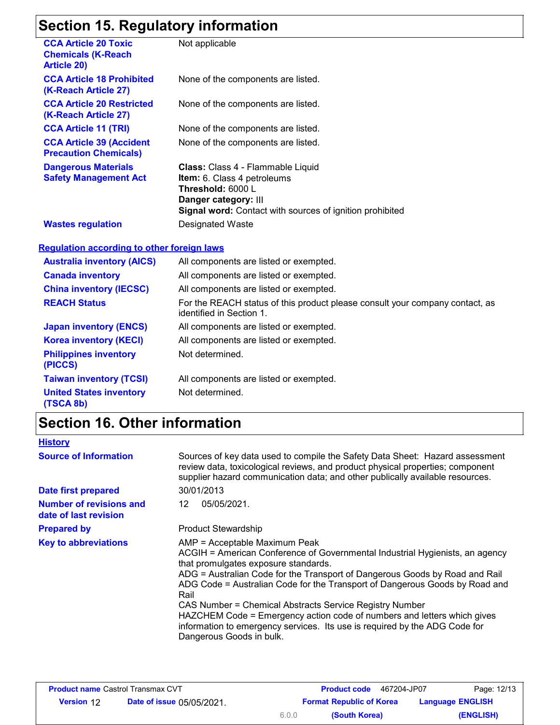### **Section 15. Regulatory information**

| Secuoli 19. Regulatory Information                                             |                                                                                                                                                                           |
|--------------------------------------------------------------------------------|---------------------------------------------------------------------------------------------------------------------------------------------------------------------------|
| <b>CCA Article 20 Toxic</b><br><b>Chemicals (K-Reach</b><br><b>Article 20)</b> | Not applicable                                                                                                                                                            |
| <b>CCA Article 18 Prohibited</b><br>(K-Reach Article 27)                       | None of the components are listed.                                                                                                                                        |
| <b>CCA Article 20 Restricted</b><br>(K-Reach Article 27)                       | None of the components are listed.                                                                                                                                        |
| <b>CCA Article 11 (TRI)</b>                                                    | None of the components are listed.                                                                                                                                        |
| <b>CCA Article 39 (Accident</b><br><b>Precaution Chemicals)</b>                | None of the components are listed.                                                                                                                                        |
| <b>Dangerous Materials</b><br><b>Safety Management Act</b>                     | Class: Class 4 - Flammable Liquid<br>Item: 6. Class 4 petroleums<br>Threshold: 6000 L<br>Danger category: III<br>Signal word: Contact with sources of ignition prohibited |
| <b>Wastes regulation</b>                                                       | Designated Waste                                                                                                                                                          |
| <b>Regulation according to other foreign laws</b>                              |                                                                                                                                                                           |
| <b>Australia inventory (AICS)</b>                                              | All components are listed or exempted.                                                                                                                                    |
| <b>Canada inventory</b>                                                        | All components are listed or exempted.                                                                                                                                    |
| <b>China inventory (IECSC)</b>                                                 | All components are listed or exempted.                                                                                                                                    |
| <b>REACH Status</b>                                                            | For the REACH status of this product please consult your company contact, as<br>identified in Section 1.                                                                  |
| <b>Japan inventory (ENCS)</b>                                                  | All components are listed or exempted.                                                                                                                                    |
| <b>Korea inventory (KECI)</b>                                                  | All components are listed or exempted.                                                                                                                                    |
| <b>Philippines inventory</b><br>(PICCS)                                        | Not determined.                                                                                                                                                           |
| <b>Taiwan inventory (TCSI)</b>                                                 | All components are listed or exempted.                                                                                                                                    |
| <b>United States inventory</b><br>(TSCA 8b)                                    | Not determined.                                                                                                                                                           |

# **Section 16. Other information**

| <b>History</b>                                          |                                                                                                                                                                                                                                                                                                                                                                                                                                                                                                                                                                             |  |  |  |
|---------------------------------------------------------|-----------------------------------------------------------------------------------------------------------------------------------------------------------------------------------------------------------------------------------------------------------------------------------------------------------------------------------------------------------------------------------------------------------------------------------------------------------------------------------------------------------------------------------------------------------------------------|--|--|--|
| <b>Source of Information</b>                            | Sources of key data used to compile the Safety Data Sheet: Hazard assessment<br>review data, toxicological reviews, and product physical properties; component<br>supplier hazard communication data; and other publically available resources.                                                                                                                                                                                                                                                                                                                             |  |  |  |
| <b>Date first prepared</b>                              | 30/01/2013                                                                                                                                                                                                                                                                                                                                                                                                                                                                                                                                                                  |  |  |  |
| <b>Number of revisions and</b><br>date of last revision | 05/05/2021.<br>12                                                                                                                                                                                                                                                                                                                                                                                                                                                                                                                                                           |  |  |  |
| <b>Prepared by</b>                                      | <b>Product Stewardship</b>                                                                                                                                                                                                                                                                                                                                                                                                                                                                                                                                                  |  |  |  |
| <b>Key to abbreviations</b>                             | AMP = Acceptable Maximum Peak<br>ACGIH = American Conference of Governmental Industrial Hygienists, an agency<br>that promulgates exposure standards.<br>ADG = Australian Code for the Transport of Dangerous Goods by Road and Rail<br>ADG Code = Australian Code for the Transport of Dangerous Goods by Road and<br>Rail<br>CAS Number = Chemical Abstracts Service Registry Number<br>HAZCHEM Code = Emergency action code of numbers and letters which gives<br>information to emergency services. Its use is required by the ADG Code for<br>Dangerous Goods in bulk. |  |  |  |